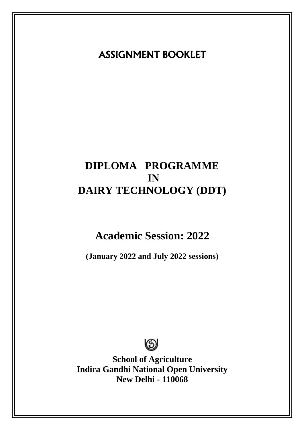# ASSIGNMENT BOOKLET

# **DIPLOMA PROGRAMME IN DAIRY TECHNOLOGY (DDT)**

# **Academic Session: 2022**

**(January 2022 and July 2022 sessions)**



**School of Agriculture Indira Gandhi National Open University New Delhi - 110068**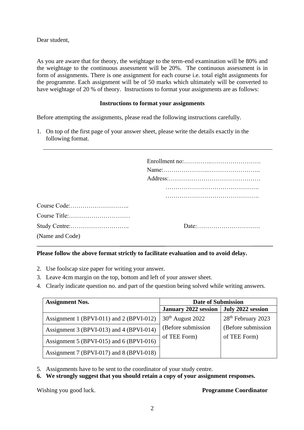Dear student,

As you are aware that for theory, the weightage to the term-end examination will be 80% and the weightage to the continuous assessment will be 20%. The continuous assessment is in form of assignments. There is one assignment for each course i.e. total eight assignments for the programme. Each assignment will be of 50 marks which ultimately will be converted to have weightage of 20 % of theory. Instructions to format your assignments are as follows:

## **Instructions to format your assignments**

Before attempting the assignments, please read the following instructions carefully.

1. On top of the first page of your answer sheet, please write the details exactly in the following format.

| (Name and Code) |  |
|-----------------|--|

# **Please follow the above format strictly to facilitate evaluation and to avoid delay.**

- 2. Use foolscap size paper for writing your answer.
- 3. Leave 4cm margin on the top, bottom and left of your answer sheet.
- 4. Clearly indicate question no. and part of the question being solved while writing answers.

| <b>Assignment Nos.</b>                   | <b>Date of Submission</b>   |                                |  |
|------------------------------------------|-----------------------------|--------------------------------|--|
|                                          | <b>January 2022 session</b> | July 2022 session              |  |
| Assignment 1 (BPVI-011) and 2 (BPVI-012) | $30th$ August 2022          | 28 <sup>th</sup> February 2023 |  |
| Assignment 3 (BPVI-013) and 4 (BPVI-014) | (Before submission          | (Before submission)            |  |
| Assignment 5 (BPVI-015) and 6 (BPVI-016) | of TEE Form)                | of TEE Form)                   |  |
| Assignment 7 (BPVI-017) and 8 (BPVI-018) |                             |                                |  |

- 5. Assignments have to be sent to the coordinator of your study centre.
- **6. We strongly suggest that you should retain a copy of your assignment responses.**

Wishing you good luck. **Programme Coordinator**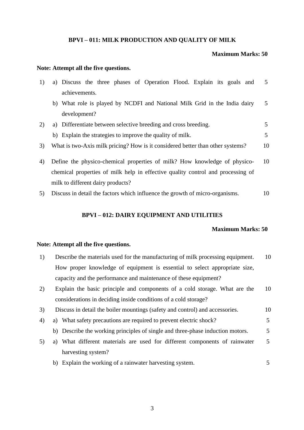#### **BPVI – 011: MILK PRODUCTION AND QUALITY OF MILK**

### **Maximum Marks: 50**

#### **Note: Attempt all the five questions.**

| 1) |                                   |  |  | a) Discuss the three phases of Operation Flood. Explain its goals and           |  |  | 5  |
|----|-----------------------------------|--|--|---------------------------------------------------------------------------------|--|--|----|
|    | achievements.                     |  |  |                                                                                 |  |  |    |
|    |                                   |  |  | b) What role is played by NCDFI and National Milk Grid in the India dairy       |  |  | 5  |
|    | development?                      |  |  |                                                                                 |  |  |    |
| 2) |                                   |  |  | a) Differentiate between selective breeding and cross breeding.                 |  |  | 5  |
|    |                                   |  |  | b) Explain the strategies to improve the quality of milk.                       |  |  | 5  |
| 3) |                                   |  |  | What is two-Axis milk pricing? How is it considered better than other systems?  |  |  | 10 |
| 4) |                                   |  |  | Define the physico-chemical properties of milk? How knowledge of physico-       |  |  | 10 |
|    |                                   |  |  | chemical properties of milk help in effective quality control and processing of |  |  |    |
|    | milk to different dairy products? |  |  |                                                                                 |  |  |    |
| 5) |                                   |  |  | Discuss in detail the factors which influence the growth of micro-organisms.    |  |  | 10 |

# **BPVI – 012: DAIRY EQUIPMENT AND UTILITIES**

#### **Maximum Marks: 50**

#### **Note: Attempt all the five questions.**

| Describe the materials used for the manufacturing of milk processing equipment. | 10 |
|---------------------------------------------------------------------------------|----|
| How proper knowledge of equipment is essential to select appropriate size,      |    |
| capacity and the performance and maintenance of these equipment?                |    |

- 2) Explain the basic principle and components of a cold storage. What are the considerations in deciding inside conditions of a cold storage? 10
- 3) Discuss in detail the boiler mountings (safety and control) and accessories. 10
- 4) a) What safety precautions are required to prevent electric shock? 5
	- b) Describe the working principles of single and three-phase induction motors. 5
- 5) a) What different materials are used for different components of rainwater harvesting system? 5
	- b) Explain the working of a rainwater harvesting system. 5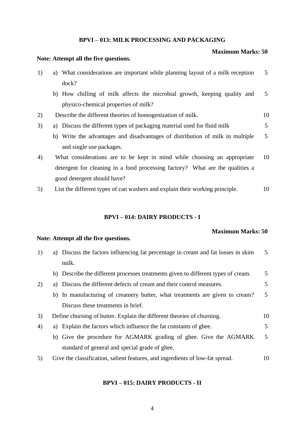## **BPVI – 013: MILK PROCESSING AND PACKAGING**

#### **Maximum Marks: 50**

#### **Note: Attempt all the five questions.**

| 1) | a) What considerations are important while planning layout of a milk reception | 5  |
|----|--------------------------------------------------------------------------------|----|
|    | dock?                                                                          |    |
|    | b) How chilling of milk affects the microbial growth, keeping quality and      | 5  |
|    | physico-chemical properties of milk?                                           |    |
| 2) | Describe the different theories of homogenization of milk.                     | 10 |
| 3) | a) Discuss the different types of packaging material used for fluid milk       | 5  |
|    | b) Write the advantages and disadvantages of distribution of milk in multiple  | 5  |
|    | and single use packages.                                                       |    |

- 4) What considerations are to be kept in mind while choosing an appropriate detergent for cleaning in a food processing factory? What are the qualities a good detergent should have? 10
- 5) List the different types of can washers and explain their working principle. 10

## **BPVI – 014: DAIRY PRODUCTS - I**

#### **Maximum Marks: 50**

#### **Note: Attempt all the five questions.**

| 1) | a) Discuss the factors influencing fat percentage in cream and fat losses in skim | 5  |
|----|-----------------------------------------------------------------------------------|----|
|    | milk.                                                                             |    |
|    | b) Describe the different processes treatments given to different types of cream. | 5  |
| 2) | a) Discuss the different defects of cream and their control measures.             | 5  |
|    | b) In manufacturing of creamery butter, what treatments are given to cream?       | 5  |
|    | Discuss these treatments in brief.                                                |    |
| 3) | Define churning of butter. Explain the different theories of churning.            | 10 |
| 4) | a) Explain the factors which influence the fat constants of ghee.                 | 5  |
|    | b) Give the procedure for AGMARK grading of ghee. Give the AGMARK                 | 5  |
|    | standard of general and special grade of ghee.                                    |    |
| 5) | Give the classification, salient features, and ingredients of low-fat spread.     | 10 |
|    |                                                                                   |    |

## **BPVI – 015: DAIRY PRODUCTS - II**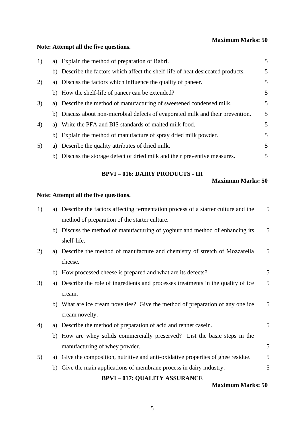# **Maximum Marks: 50**

# **Note: Attempt all the five questions.**

| 1) | a) Explain the method of preparation of Rabri.                                   | 5 |
|----|----------------------------------------------------------------------------------|---|
|    | b) Describe the factors which affect the shelf-life of heat desiccated products. | 5 |
| 2) | a) Discuss the factors which influence the quality of paneer.                    | 5 |
|    | b) How the shelf-life of paneer can be extended?                                 | 5 |
| 3) | a) Describe the method of manufacturing of sweetened condensed milk.             | 5 |
|    | b) Discuss about non-microbial defects of evaporated milk and their prevention.  | 5 |
| 4) | a) Write the PFA and BIS standards of malted milk food.                          | 5 |
|    | b) Explain the method of manufacture of spray dried milk powder.                 | 5 |
| 5) | a) Describe the quality attributes of dried milk.                                | 5 |
|    | b) Discuss the storage defect of dried milk and their preventive measures.       | 5 |

# **BPVI – 016: DAIRY PRODUCTS - III**

### **Maximum Marks: 50**

# **Note: Attempt all the five questions.**

| 1) | a) | Describe the factors affecting fermentation process of a starter culture and the | 5 |
|----|----|----------------------------------------------------------------------------------|---|
|    |    | method of preparation of the starter culture.                                    |   |
|    | b) | Discuss the method of manufacturing of yoghurt and method of enhancing its       | 5 |
|    |    | shelf-life.                                                                      |   |
| 2) | a) | Describe the method of manufacture and chemistry of stretch of Mozzarella        | 5 |
|    |    | cheese.                                                                          |   |
|    |    | b) How processed cheese is prepared and what are its defects?                    | 5 |
| 3) | a) | Describe the role of ingredients and processes treatments in the quality of ice  | 5 |
|    |    | cream.                                                                           |   |
|    |    | b) What are ice cream novelties? Give the method of preparation of any one ice   | 5 |
|    |    | cream novelty.                                                                   |   |
| 4) | a) | Describe the method of preparation of acid and rennet case in.                   | 5 |
|    |    | b) How are whey solids commercially preserved? List the basic steps in the       |   |
|    |    | manufacturing of whey powder.                                                    | 5 |
| 5) | a) | Give the composition, nutritive and anti-oxidative properties of ghee residue.   | 5 |
|    |    | b) Give the main applications of membrane process in dairy industry.             | 5 |
|    |    | <b>BPVI-017: QUALITY ASSURANCE</b>                                               |   |

# **Maximum Marks: 50**